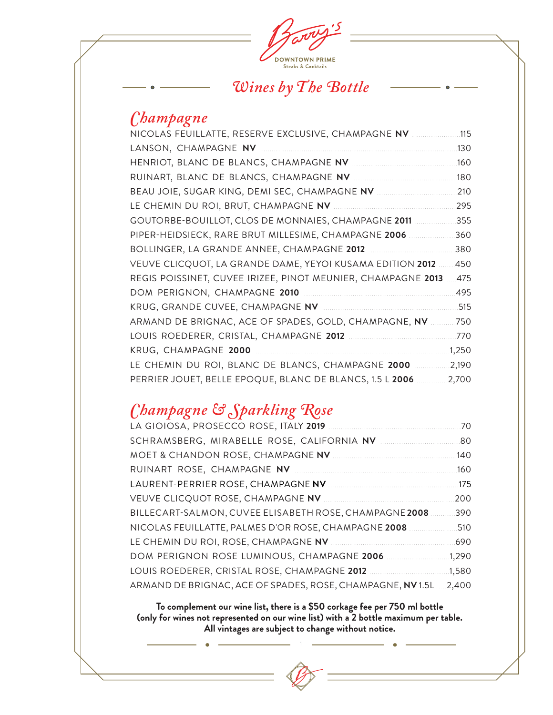

### *Wines by The Bottle*

### *Champagne*

| NICOLAS FEUILLATTE, RESERVE EXCLUSIVE, CHAMPAGNE NV          | .115  |
|--------------------------------------------------------------|-------|
| LANSON, CHAMPAGNE NV                                         | .130  |
|                                                              | .160  |
|                                                              | 180   |
|                                                              | 210   |
|                                                              | 295   |
| GOUTORBE-BOUILLOT, CLOS DE MONNAIES, CHAMPAGNE 2011          | .355  |
| PIPER-HEIDSIECK, RARE BRUT MILLESIME, CHAMPAGNE 2006         | 360   |
| BOLLINGER, LA GRANDE ANNEE, CHAMPAGNE 2012                   | 380   |
| VEUVE CLICQUOT, LA GRANDE DAME, YEYOI KUSAMA EDITION 2012    | 450   |
| REGIS POISSINET, CUVEE IRIZEE, PINOT MEUNIER, CHAMPAGNE 2013 | .475  |
|                                                              | 495   |
|                                                              | .515  |
| ARMAND DE BRIGNAC, ACE OF SPADES, GOLD, CHAMPAGNE, NV        | .750  |
|                                                              | .770  |
| KRUG, CHAMPAGNE 2000                                         | 1,250 |
| LE CHEMIN DU ROI, BLANC DE BLANCS, CHAMPAGNE 2000            | 2,190 |
| PERRIER JOUET, BELLE EPOQUE, BLANC DE BLANCS, 1.5 L 2006     | 2,700 |
|                                                              |       |

## *Champagne & Sparkling Rose*

|                                                           | 70    |
|-----------------------------------------------------------|-------|
|                                                           | - 80  |
|                                                           | 140   |
|                                                           | 160   |
|                                                           | 175   |
|                                                           | 200   |
| BILLECART-SALMON, CUVEE ELISABETH ROSE, CHAMPAGNE 2008    | 390   |
| NICOLAS FEUILLATTE, PALMES D'OR ROSE, CHAMPAGNE 2008.     | 510   |
|                                                           | 690   |
| DOM PERIGNON ROSE LUMINOUS, CHAMPAGNE 2006                | 1,290 |
| LOUIS ROEDERER, CRISTAL ROSE, CHAMPAGNE 2012              | 1,580 |
| ARMAND DE BRIGNAC, ACE OF SPADES, ROSE, CHAMPAGNE, NV1.5L | 2,400 |

**To complement our wine list, there is a \$50 corkage fee per 750 ml bottle (only for wines not represented on our wine list) with a 2 bottle maximum per table. All vintages are subject to change without notice.**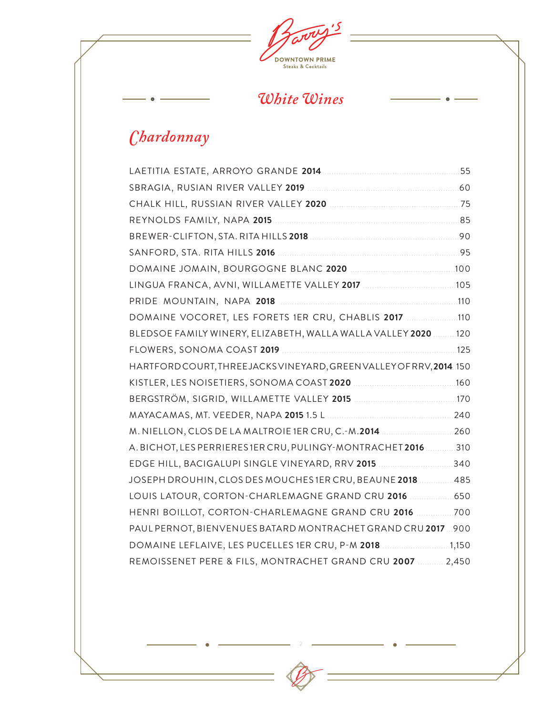

## *White Wines*

 $\bullet$ 

## *Chardonnay*

 $\bullet$ 

| LINGUA FRANCA, AVNI, WILLAMETTE VALLEY 2017 [105] 105           |  |
|-----------------------------------------------------------------|--|
|                                                                 |  |
| DOMAINE VOCORET, LES FORETS 1ER CRU, CHABLIS 2017 [10] [10]     |  |
| BLEDSOE FAMILY WINERY, ELIZABETH, WALLA WALLA VALLEY 2020 120   |  |
|                                                                 |  |
| HARTFORDCOURT, THREEJACKSVINEYARD, GREENVALLEY OF RRV, 2014.150 |  |
|                                                                 |  |
|                                                                 |  |
|                                                                 |  |
| M. NIELLON, CLOS DE LA MALTROIE 1ER CRU, C.-M.2014 260          |  |
| A. BICHOT, LES PERRIERES 1ER CRU, PULINGY-MONTRACHET 2016 310   |  |
| EDGE HILL, BACIGALUPI SINGLE VINEYARD, RRV 2015 340             |  |
| JOSEPH DROUHIN, CLOS DES MOUCHES 1ER CRU, BEAUNE 2018  485      |  |
| LOUIS LATOUR, CORTON-CHARLEMAGNE GRAND CRU 2016  650            |  |
| HENRI BOILLOT, CORTON-CHARLEMAGNE GRAND CRU 2016 700            |  |
| PAUL PERNOT, BIENVENUES BATARD MONTRACHET GRAND CRU 2017  900   |  |
| DOMAINE LEFLAIVE, LES PUCELLES 1ER CRU, P-M 2018 1,150          |  |
| REMOISSENET PERE & FILS, MONTRACHET GRAND CRU 2007 2,450        |  |
|                                                                 |  |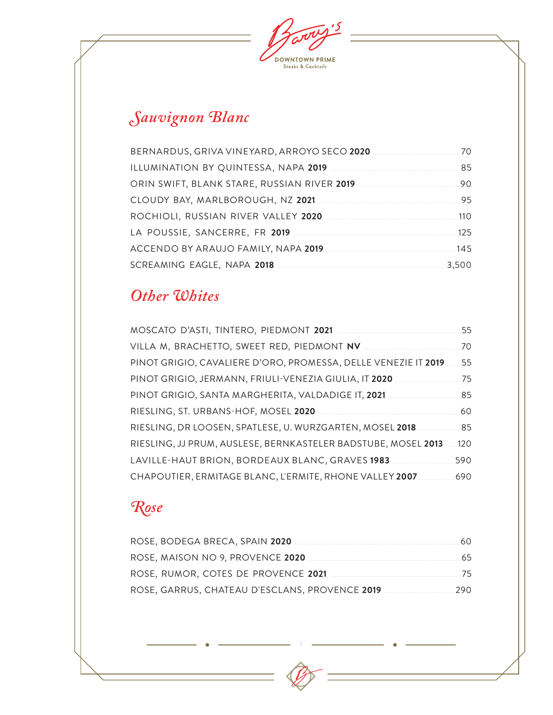$\overline{\mathcal{S}}$ **DOWNTOWN PRIME**<br>Steaks & Cocktails

# *Sauvignon Blanc*

## *Other Whites*

| MOSCATO D'ASTI, TINTERO, PIEDMONT 2021 .                       | 55   |
|----------------------------------------------------------------|------|
| VILLA M, BRACHETTO, SWEET RED, PIEDMONT NV                     | .70  |
| PINOT GRIGIO, CAVALIERE D'ORO, PROMESSA, DELLE VENEZIE IT 2019 | 55   |
| PINOT GRIGIO, JERMANN, FRIULI-VENEZIA GIULIA, IT 2020          | 75   |
| PINOT GRIGIO, SANTA MARGHERITA, VALDADIGE IT, 2021             | 85   |
| RIESLING, ST. URBANS-HOF, MOSEL 2020                           | 60   |
| RIESLING, DR LOOSEN, SPATLESE, U. WURZGARTEN, MOSEL 2018       | 85   |
| RIESLING, JJ PRUM, AUSLESE, BERNKASTELER BADSTUBE, MOSEL 2013  | .120 |
| LAVILLE-HAUT BRION, BORDEAUX BLANC, GRAVES 1983                | 590  |
| CHAPOUTIER, ERMITAGE BLANC, L'ERMITE, RHONE VALLEY 2007        | 690  |

## *Rose*

|                                                | 60   |
|------------------------------------------------|------|
|                                                | -65  |
|                                                |      |
| ROSE, GARRUS, CHATEAU D'ESCLANS, PROVENCE 2019 | -290 |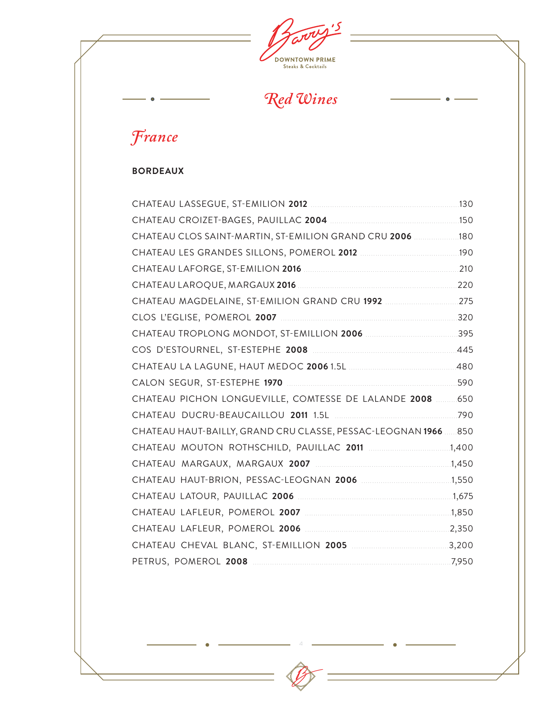$\mathbf{5}$ **DOWNTOWN PRIME**<br>Steaks & Cocktails

*Red Wines*

 $\bullet$ 

# *France*

 $\bullet$ 

#### **BORDEAUX**

| CHATEAU CLOS SAINT-MARTIN, ST-EMILION GRAND CRU 2006  180      |  |
|----------------------------------------------------------------|--|
|                                                                |  |
|                                                                |  |
|                                                                |  |
|                                                                |  |
|                                                                |  |
|                                                                |  |
|                                                                |  |
|                                                                |  |
|                                                                |  |
| CHATEAU PICHON LONGUEVILLE, COMTESSE DE LALANDE 2008  650      |  |
|                                                                |  |
| CHATEAU HAUT-BAILLY, GRAND CRU CLASSE, PESSAC-LEOGNAN 1966 850 |  |
|                                                                |  |
|                                                                |  |
|                                                                |  |
|                                                                |  |
|                                                                |  |
|                                                                |  |
|                                                                |  |
|                                                                |  |
|                                                                |  |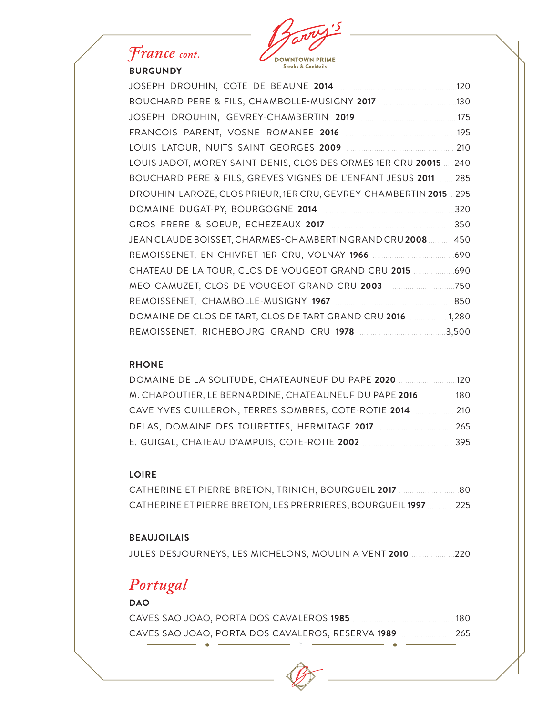

### *France cont.* **BURGUNDY**

|                                                                   | .120  |
|-------------------------------------------------------------------|-------|
|                                                                   | .130  |
|                                                                   | 175   |
|                                                                   | .195  |
|                                                                   | 210   |
| LOUIS JADOT, MOREY-SAINT-DENIS, CLOS DES ORMES 1ER CRU 20015      | 240   |
| BOUCHARD PERE & FILS, GREVES VIGNES DE L'ENFANT JESUS 2011        | 285   |
| DROUHIN-LAROZE, CLOS PRIEUR, 1ER CRU, GEVREY-CHAMBERTIN 2015  295 |       |
|                                                                   | 320   |
|                                                                   | 350   |
| JEAN CLAUDE BOISSET, CHARMES-CHAMBERTIN GRAND CRU 2008            | 450   |
|                                                                   | .690  |
| CHATEAU DE LA TOUR, CLOS DE VOUGEOT GRAND CRU 2015                | .690  |
| MEO-CAMUZET, CLOS DE VOUGEOT GRAND CRU 2003                       | .750  |
|                                                                   | .850  |
| DOMAINE DE CLOS DE TART, CLOS DE TART GRAND CRU 2016              | 1,280 |
| REMOISSENET, RICHEBOURG GRAND CRU 1978 [1978]                     | 3,500 |

#### **RHONE**

| DOMAINE DE LA SOLITUDE, CHATEAUNEUF DU PAPE 2020           | 12 O |
|------------------------------------------------------------|------|
| M. CHAPOUTIER, LE BERNARDINE, CHATEAUNEUF DU PAPE 2016 180 |      |
| CAVE YVES CUILLERON, TERRES SOMBRES, COTE-ROTIE 2014 210   |      |
|                                                            | 265  |
|                                                            | 395  |

#### **LOIRE**

CATHERINE ET PIERRE BRETON, TRINICH, BOURGUEIL **2017** ............................80 CATHERINE ET PIERRE BRETON, LES PRERRIERES, BOURGUEIL **1997** .............225

#### **BEAUJOILAIS**

JULES DESJOURNEYS, LES MICHELONS, MOULIN A VENT **2010** ....................220

## *Portugal*

#### **DAO**

|  |  |  | - 180                                                        |  |
|--|--|--|--------------------------------------------------------------|--|
|  |  |  | CAVES SAO JOAO, PORTA DOS CAVALEROS, RESERVA <b>1989</b> 265 |  |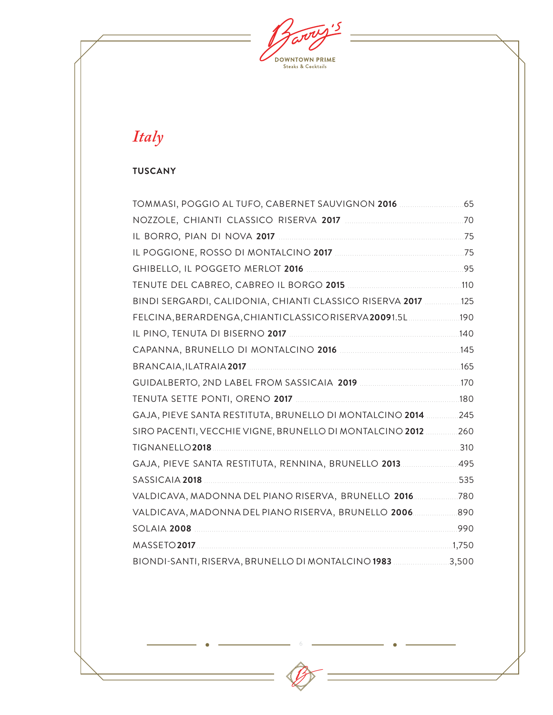$\overline{\mathcal{S}}$ **DOWNTOWN PRIME**<br>Steaks & Cocktails

## *Italy*

#### **TUSCANY**

| BINDI SERGARDI, CALIDONIA, CHIANTI CLASSICO RISERVA 2017 125                                                  |      |
|---------------------------------------------------------------------------------------------------------------|------|
| FELCINA, BERARDENGA, CHIANTICLASSICORISERVA20091.5L  190                                                      |      |
|                                                                                                               |      |
|                                                                                                               |      |
|                                                                                                               |      |
|                                                                                                               |      |
|                                                                                                               |      |
| GAJA, PIEVE SANTA RESTITUTA, BRUNELLO DI MONTALCINO 2014  245                                                 |      |
| SIRO PACENTI, VECCHIE VIGNE, BRUNELLO DI MONTALCINO 2012  260                                                 |      |
|                                                                                                               |      |
| GAJA, PIEVE SANTA RESTITUTA, RENNINA, BRUNELLO 2013495                                                        |      |
| SASSICAIA 2018 200 200 200 201 201 201 202 203 204 205 206 207 208 209 201 201 201 202 203 204 205 206 207 20 | .535 |
| VALDICAVA, MADONNA DEL PIANO RISERVA, BRUNELLO 2016780                                                        |      |
| VALDICAVA, MADONNA DEL PIANO RISERVA, BRUNELLO 2006 890                                                       |      |
|                                                                                                               |      |
|                                                                                                               |      |
| BIONDI-SANTI, RISERVA, BRUNELLO DI MONTALCINO 1983 3,500                                                      |      |
|                                                                                                               |      |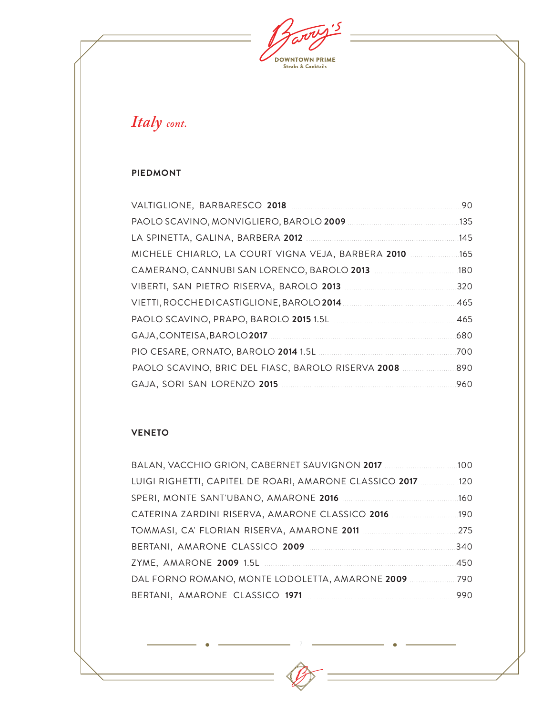$\overline{\mathcal{S}}$ **DOWNTOWN PRIME**<br>Steaks & Cocktails

*Italy cont.*

#### **PIEDMONT**

|                                                    | 90   |
|----------------------------------------------------|------|
|                                                    | .135 |
|                                                    | 145  |
| MICHELE CHIARLO, LA COURT VIGNA VEJA, BARBERA 2010 | .165 |
|                                                    | .180 |
|                                                    | 320  |
|                                                    | .465 |
|                                                    | 465  |
|                                                    | .680 |
|                                                    | 700  |
| PAOLO SCAVINO, BRIC DEL FIASC, BAROLO RISERVA 2008 | 890  |
|                                                    | .960 |

#### **VENETO**

| BALAN, VACCHIO GRION, CABERNET SAUVIGNON 2017           | .100 |
|---------------------------------------------------------|------|
| LUIGI RIGHETTI, CAPITEL DE ROARI, AMARONE CLASSICO 2017 | .120 |
|                                                         | .160 |
| CATERINA ZARDINI RISERVA, AMARONE CLASSICO 2016         | 190  |
|                                                         | .275 |
|                                                         | 340  |
|                                                         | 450  |
| DAL FORNO ROMANO, MONTE LODOLETTA, AMARONE 2009         | .790 |
|                                                         | 990  |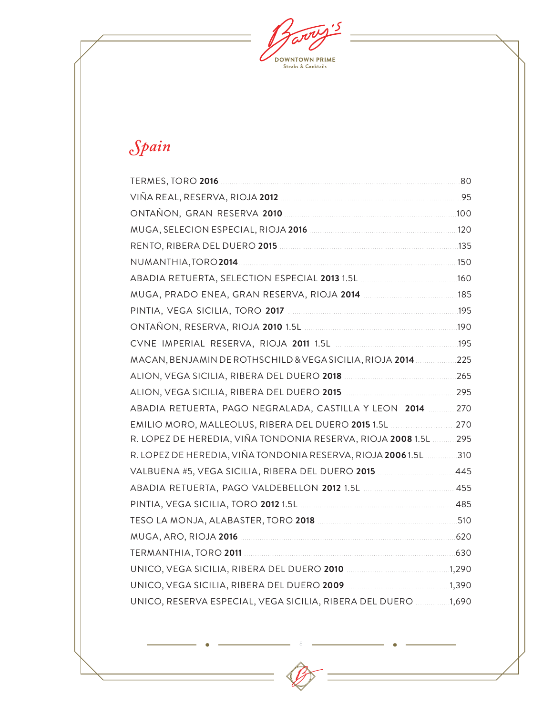$\overline{\mathcal{S}}$ **DOWNTOWN PRIME**<br>Steaks & Cocktails

# *Spain*

| MACAN, BENJAMIN DE ROTHSCHILD & VEGA SICILIA, RIOJA 2014  225         |  |
|-----------------------------------------------------------------------|--|
|                                                                       |  |
|                                                                       |  |
| ABADIA RETUERTA, PAGO NEGRALADA, CASTILLA Y LEON 2014  270            |  |
| EMILIO MORO, MALLEOLUS, RIBERA DEL DUERO 2015 1.5L 270                |  |
| R. LOPEZ DE HEREDIA, VIÑA TONDONIA RESERVA, RIOJA 2008 1.5L  295      |  |
| R. LOPEZ DE HEREDIA, VIÑA TONDONIA RESERVA, RIOJA 2006 1.5L 310       |  |
|                                                                       |  |
|                                                                       |  |
|                                                                       |  |
|                                                                       |  |
|                                                                       |  |
|                                                                       |  |
| UNICO, VEGA SICILIA, RIBERA DEL DUERO 2010 [11] [11] 11290 [11] 11290 |  |
|                                                                       |  |
| UNICO, RESERVA ESPECIAL, VEGA SICILIA, RIBERA DEL DUERO 1,690         |  |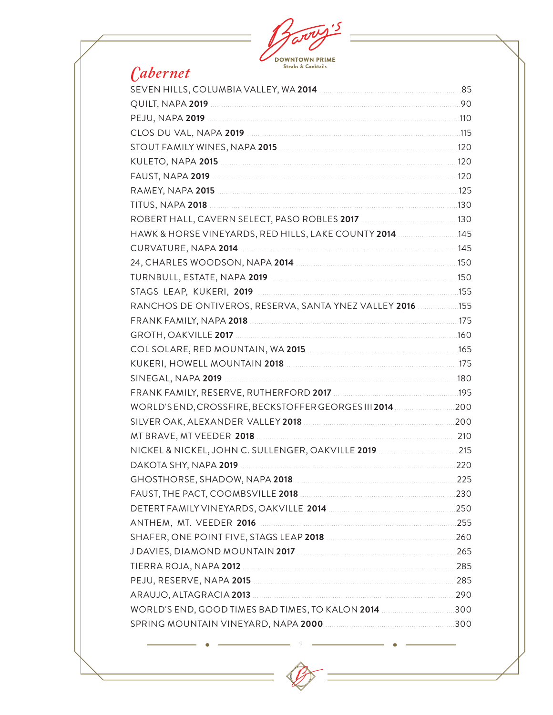| arre                                                                                                          |  |
|---------------------------------------------------------------------------------------------------------------|--|
|                                                                                                               |  |
| <b>DOWNTOWN PRIME</b><br><b>Steaks &amp; Cocktails</b>                                                        |  |
| <i>Cabernet</i>                                                                                               |  |
|                                                                                                               |  |
| QUILT, NAPA 2019 <b>Marsh 2019</b> 2010 2011 2012 2014 2019 201                                               |  |
|                                                                                                               |  |
|                                                                                                               |  |
|                                                                                                               |  |
|                                                                                                               |  |
|                                                                                                               |  |
|                                                                                                               |  |
|                                                                                                               |  |
|                                                                                                               |  |
| HAWK & HORSE VINEYARDS, RED HILLS, LAKE COUNTY 2014 [1980] 145                                                |  |
|                                                                                                               |  |
|                                                                                                               |  |
|                                                                                                               |  |
|                                                                                                               |  |
| RANCHOS DE ONTIVEROS, RESERVA, SANTA YNEZ VALLEY 2016  155                                                    |  |
|                                                                                                               |  |
|                                                                                                               |  |
|                                                                                                               |  |
|                                                                                                               |  |
| FRANK FAMILY, RESERVE, RUTHERFORD 2017 [199] [199] [199] [199] [199] [199] [199] [199] [199] [199] [199] [199 |  |
| WORLD'SEND, CROSSFIRE, BECKSTOFFER GEORGES III 2014  200                                                      |  |
|                                                                                                               |  |
|                                                                                                               |  |
|                                                                                                               |  |
|                                                                                                               |  |
|                                                                                                               |  |
| FAUST, THE PACT, COOMBSVILLE 2018 <b>MACHINE 2018</b> 230                                                     |  |
|                                                                                                               |  |
|                                                                                                               |  |
|                                                                                                               |  |
|                                                                                                               |  |
|                                                                                                               |  |
|                                                                                                               |  |
|                                                                                                               |  |
|                                                                                                               |  |
|                                                                                                               |  |
|                                                                                                               |  |

 $\overline{9}$ 

 $\bigvee$ 

 $\equiv$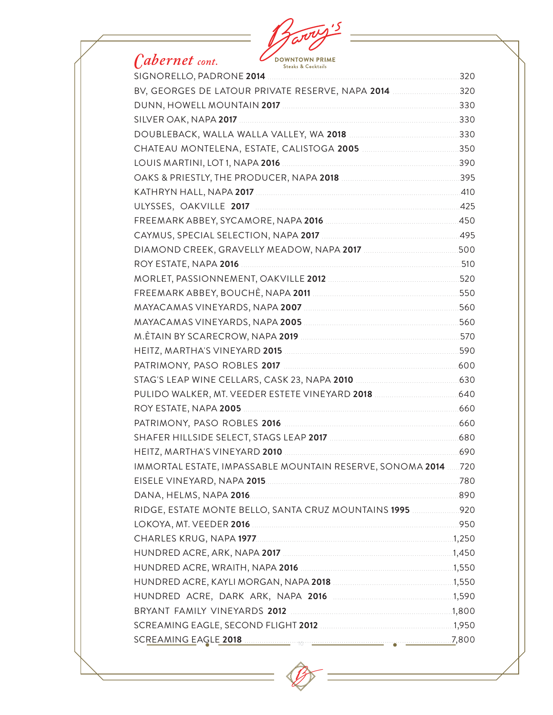#### **DOWNTOWN PRIME Steaks & Cocktails** SIGNORELLO, PADRONE 2014. 320 BV. GEORGES DE LATOUR PRIVATE RESERVE. NAPA 2014 ..............................320  $\begin{array}{c|c|c|c|c|c} \hline \multicolumn{3}{c|}{\textbf{1330}} & \multicolumn{3}{c|}{\textbf{230}} \\ \hline \multicolumn{3}{c|}{\textbf{230}} & \multicolumn{3}{c|}{\textbf{230}} \\ \hline \multicolumn{3}{c|}{\textbf{230}} & \multicolumn{3}{c|}{\textbf{230}} \\ \hline \multicolumn{3}{c|}{\textbf{230}} & \multicolumn{3}{c|}{\textbf{230}} \\ \hline \multicolumn{3}{c|}{\textbf{230}} & \multicolumn{3}{c|}{\textbf{23$ SILVER OAK, NAPA 2017

### *Cabernet cont.*

|                                            | 395  |
|--------------------------------------------|------|
|                                            | .410 |
| ULYSSES, OAKVILLE 2017                     | .425 |
|                                            | 450  |
|                                            | .495 |
|                                            | 500  |
|                                            | 510  |
|                                            | 520  |
|                                            | 550  |
|                                            | 560  |
|                                            | 560  |
|                                            | 570  |
|                                            | 590  |
|                                            | 600  |
| STAG'S LEAP WINE CELLARS CASK 23 NAPA 2010 | 630  |

- ON, NAPA 2017 2017 2017 2018 2017 510 NAPA 2007 560 NAPA 2019 2019 2010 12:00 2010 12:00 2010 12:00 2010 12:00 2010 12:00 2010 12:00 2010 12:00 2010 12:00 2010 12:00 20 2D 2015 590 S 2017 600 IMMORTAL ESTATE, IMPASSABLE MOUNTAIN RESERVE, SONOMA 2014 ...... 720
- RIDGE, ESTATE MONTE BELLO, SANTA CRUZ MOUNTAINS 1995 [1995] [1995] [1995] [1995] [1996] RIDGE, ESTATE MONTE BELLO, SANTA CRUZ MOUNTAINS 1995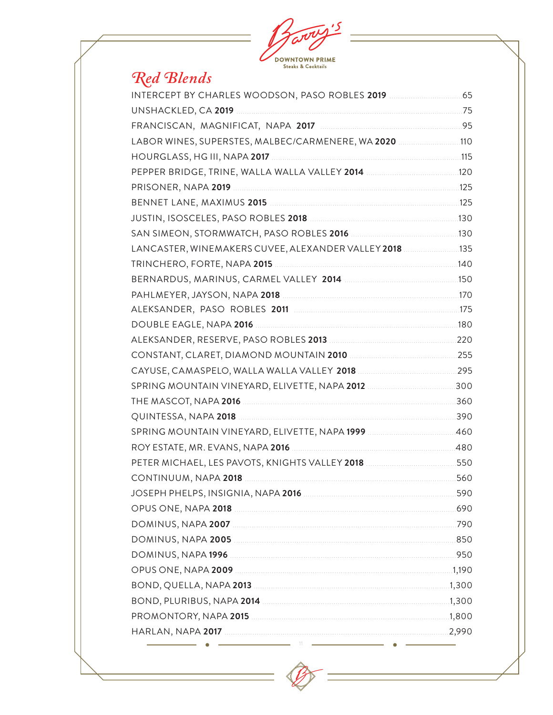

# Red Blends

| LABOR WINES, SUPERSTES, MALBEC/CARMENERE, WA 2020 110                                                          |     |
|----------------------------------------------------------------------------------------------------------------|-----|
|                                                                                                                |     |
|                                                                                                                |     |
|                                                                                                                |     |
|                                                                                                                |     |
|                                                                                                                |     |
| SAN SIMEON, STORMWATCH, PASO ROBLES 2016 [1980] MALLONG MEDIA 130                                              |     |
| LANCASTER, WINEMAKERS CUVEE, ALEXANDER VALLEY 2018 135                                                         |     |
|                                                                                                                |     |
|                                                                                                                |     |
|                                                                                                                |     |
|                                                                                                                |     |
| DOUBLE EAGLE, NAPA 2016 [1996] [1996] [1996] [1996] [1996] [1996] [1996] [1996] [1996] [1996] [1996] [1996] [1 |     |
|                                                                                                                |     |
|                                                                                                                |     |
|                                                                                                                |     |
|                                                                                                                |     |
|                                                                                                                |     |
|                                                                                                                |     |
|                                                                                                                |     |
|                                                                                                                |     |
| PETER MICHAEL, LES PAVOTS, KNIGHTS VALLEY 2018 [111] 1950 1950                                                 |     |
|                                                                                                                | 560 |
|                                                                                                                |     |
|                                                                                                                |     |
|                                                                                                                |     |
|                                                                                                                |     |
|                                                                                                                |     |
|                                                                                                                |     |
|                                                                                                                |     |
|                                                                                                                |     |
|                                                                                                                |     |
|                                                                                                                |     |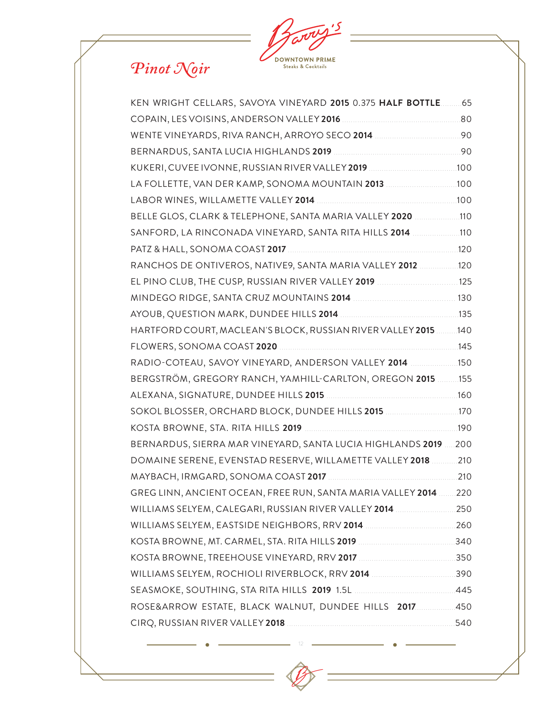$\mathbf{5}$ **DOWNTOWN PRIME**<br>Steaks & Cocktails

# *Pinot Noir*

| KEN WRIGHT CELLARS, SAVOYA VINEYARD 2015 0.375 HALF BOTTLE.     | 65   |
|-----------------------------------------------------------------|------|
|                                                                 |      |
|                                                                 |      |
|                                                                 | 90   |
| KUKERI, CUVEE IVONNE, RUSSIAN RIVER VALLEY 2019                 | .100 |
| LA FOLLETTE, VAN DER KAMP, SONOMA MOUNTAIN 2013                 | .100 |
|                                                                 |      |
| BELLE GLOS, CLARK & TELEPHONE, SANTA MARIA VALLEY 2020 110      |      |
| SANFORD, LA RINCONADA VINEYARD, SANTA RITA HILLS 2014 110       |      |
|                                                                 | .120 |
| RANCHOS DE ONTIVEROS, NATIVE9, SANTA MARIA VALLEY 2012 120      |      |
| EL PINO CLUB, THE CUSP, RUSSIAN RIVER VALLEY 2019  125          |      |
|                                                                 |      |
|                                                                 |      |
| HARTFORD COURT, MACLEAN'S BLOCK, RUSSIAN RIVER VALLEY 2015140   |      |
|                                                                 | .145 |
| RADIO-COTEAU, SAVOY VINEYARD, ANDERSON VALLEY 2014 150          |      |
| BERGSTRÖM, GREGORY RANCH, YAMHILL-CARLTON, OREGON 2015 155      |      |
|                                                                 |      |
|                                                                 |      |
|                                                                 | .190 |
| BERNARDUS, SIERRA MAR VINEYARD, SANTA LUCIA HIGHLANDS 2019  200 |      |
| DOMAINE SERENE, EVENSTAD RESERVE, WILLAMETTE VALLEY 2018  210   |      |
|                                                                 | .210 |
| GREG LINN, ANCIENT OCEAN, FREE RUN, SANTA MARIA VALLEY 2014 220 |      |
|                                                                 |      |
|                                                                 |      |
|                                                                 |      |
|                                                                 |      |
|                                                                 |      |
|                                                                 |      |
| ROSE&ARROW ESTATE, BLACK WALNUT, DUNDEE HILLS 2017450           |      |
|                                                                 |      |
|                                                                 |      |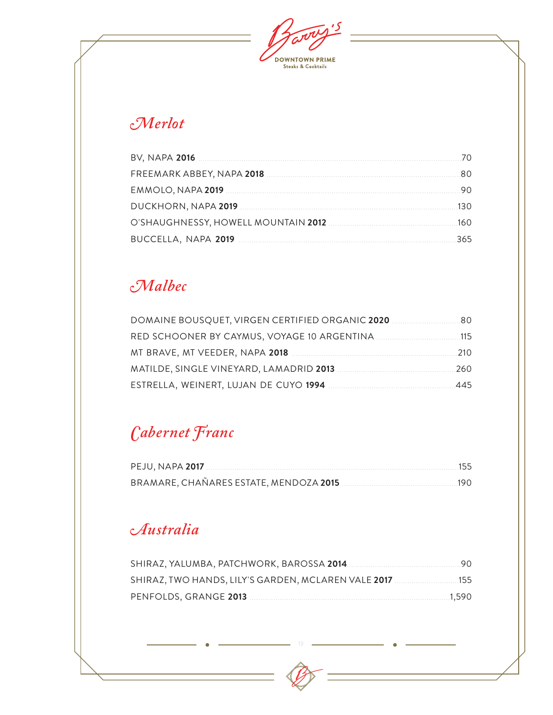$\overline{\mathcal{S}}$ **DOWNTOWN PRIME**<br>Steaks & Cocktails

## $\mathcal{M}$ erlot

|                          | 70. |
|--------------------------|-----|
|                          | 80  |
|                          |     |
|                          | 130 |
|                          | 160 |
| BUCCELLA, NAPA 2019 2019 |     |

### Malbec

| 80   |
|------|
| 115  |
| 21 O |
| 260  |
| 445  |

## Cabernet Franc

| BRAMARE, CHAÑARES ESTATE, MENDOZA 2015 [190] [190] BRAMARE, CHAÑARES ESTATE, MENDOZA 2015 |  |
|-------------------------------------------------------------------------------------------|--|

## Australia

| SHIRAZ, TWO HANDS, LILY'S GARDEN, MCLAREN VALE 2017 155 |  |
|---------------------------------------------------------|--|
|                                                         |  |

 $13 - 4$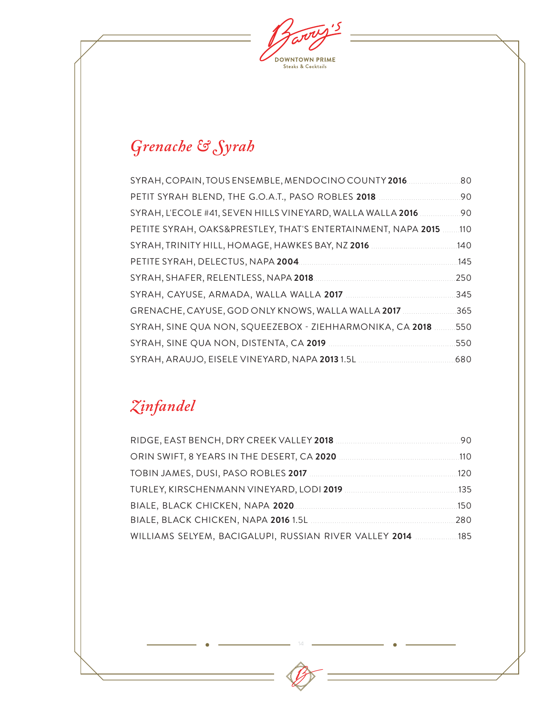$\mathbf{15}$ **DOWNTOWN PRIME**<br>Steaks & Cocktails

# *Grenache & Syrah*

| SYRAH, COPAIN, TOUS ENSEMBLE, MENDOCINO COUNTY 2016.         | .80  |
|--------------------------------------------------------------|------|
| PETIT SYRAH BLEND, THE G.O.A.T., PASO ROBLES 2018            | 90   |
| SYRAH, L'ECOLE #41, SEVEN HILLS VINEYARD, WALLA WALLA 2016   | 90   |
| PETITE SYRAH, OAKS&PRESTLEY, THAT'S ENTERTAINMENT, NAPA 2015 | .110 |
| SYRAH, TRINITY HILL, HOMAGE, HAWKES BAY, NZ 2016             | .140 |
| PETITE SYRAH, DELECTUS, NAPA 2004.                           | 145  |
| SYRAH, SHAFER, RELENTLESS, NAPA 2018.                        | 250  |
| SYRAH, CAYUSE, ARMADA, WALLA WALLA 2017                      | 345  |
| GRENACHE, CAYUSE, GOD ONLY KNOWS, WALLA WALLA 2017           | 365  |
| SYRAH, SINE QUA NON, SQUEEZEBOX - ZIEHHARMONIKA, CA 2018     | 550  |
| SYRAH, SINE QUA NON, DISTENTA, CA 2019                       | 550  |
| SYRAH, ARAUJO, EISELE VINEYARD, NAPA 2013 1.5L               | 680  |

## *Zinfandel*

|                                                            | 90   |
|------------------------------------------------------------|------|
|                                                            | .110 |
|                                                            | 120  |
|                                                            |      |
|                                                            | 150  |
|                                                            | 280  |
| WILLIAMS SELYEM, BACIGALUPI, RUSSIAN RIVER VALLEY 2014 185 |      |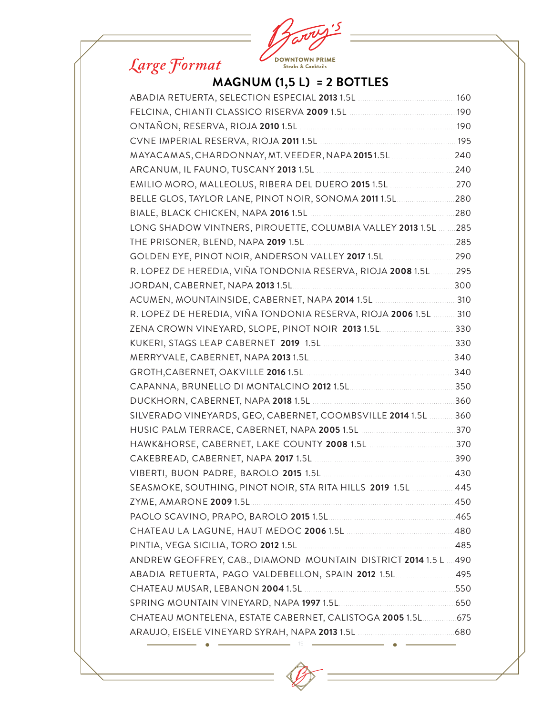# *Large Format*



### **MAGNUM (1,5 L) = 2 BOTTLES**

| FELCINA, CHIANTI CLASSICO RISERVA 2009 1.5L [190] FELCINA, CHIANTI CLASSICO RISERVA 2009 1.5L |  |
|-----------------------------------------------------------------------------------------------|--|
|                                                                                               |  |
|                                                                                               |  |
| MAYACAMAS, CHARDONNAY, MT. VEEDER, NAPA 20151.5L 240                                          |  |
|                                                                                               |  |
| EMILIO MORO, MALLEOLUS, RIBERA DEL DUERO 2015 1.5L 270                                        |  |
|                                                                                               |  |
|                                                                                               |  |
| LONG SHADOW VINTNERS, PIROUETTE, COLUMBIA VALLEY 2013 1.5L 285                                |  |
|                                                                                               |  |
|                                                                                               |  |
| R. LOPEZ DE HEREDIA, VIÑA TONDONIA RESERVA, RIOJA 2008 1.5L  295                              |  |
|                                                                                               |  |
|                                                                                               |  |
| R. LOPEZ DE HEREDIA, VIÑA TONDONIA RESERVA, RIOJA 2006 1.5L 310                               |  |
| ZENA CROWN VINEYARD, SLOPE, PINOT NOIR 2013 1.5L 330                                          |  |
|                                                                                               |  |
|                                                                                               |  |
|                                                                                               |  |
|                                                                                               |  |
|                                                                                               |  |
| SILVERADO VINEYARDS, GEO, CABERNET, COOMBSVILLE 2014 1.5L 360                                 |  |
|                                                                                               |  |
|                                                                                               |  |
|                                                                                               |  |
|                                                                                               |  |
| SEASMOKE, SOUTHING, PINOT NOIR, STA RITA HILLS 2019 1.5L  445                                 |  |
|                                                                                               |  |
|                                                                                               |  |
|                                                                                               |  |
|                                                                                               |  |
| ANDREW GEOFFREY, CAB., DIAMOND MOUNTAIN DISTRICT 2014 1.5 L  490                              |  |
| ABADIA RETUERTA, PAGO VALDEBELLON, SPAIN 2012 1.5L 495                                        |  |
|                                                                                               |  |
|                                                                                               |  |
| CHATEAU MONTELENA, ESTATE CABERNET, CALISTOGA 2005 1.5L  675                                  |  |
|                                                                                               |  |
|                                                                                               |  |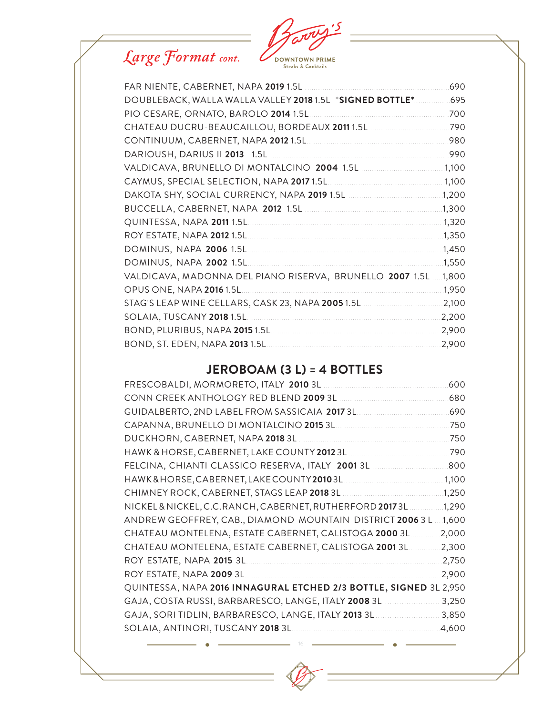

| FAR NIENTE, CABERNET, NAPA 2019 1.5L                      | 690    |
|-----------------------------------------------------------|--------|
| DOUBLEBACK, WALLA WALLA VALLEY 2018 1.5L *SIGNED BOTTLE*  | 695    |
| PIO CESARE, ORNATO, BAROLO 2014 1.5L.                     | 700    |
| CHATEAU DUCRU-BEAUCAILLOU, BORDEAUX 2011 1.5L             | .790   |
|                                                           | .980   |
|                                                           | .990   |
|                                                           | 1,100  |
|                                                           | .1,100 |
|                                                           | 1,200  |
|                                                           | 1,300  |
| QUINTESSA, NAPA 2011 1.5L.                                | 1,320  |
|                                                           | 1,350  |
| DOMINUS, NAPA 2006 1.5L                                   | 1,450  |
| DOMINUS, NAPA 2002 1.5L.                                  | 1,550  |
| VALDICAVA, MADONNA DEL PIANO RISERVA, BRUNELLO 2007 1.5L. | 1,800  |
| OPUS ONE, NAPA 2016 1.5L                                  | 1,950  |
| STAG'S LEAP WINE CELLARS, CASK 23, NAPA 2005 1.5L         | 2,100  |
| SOLAIA, TUSCANY 2018 1.5L                                 | 2,200  |
|                                                           | 2,900  |
| BOND, ST. EDEN, NAPA 2013 1.5L.                           | 2,900  |

### **JEROBOAM (3 L) = 4 BOTTLES**

| FRESCOBALDI, MORMORETO, ITALY 2010 3L                             | 600   |
|-------------------------------------------------------------------|-------|
| CONN CREEK ANTHOLOGY RED BLEND 2009 3L                            | 680   |
| GUIDALBERTO, 2ND LABEL FROM SASSICAIA 2017 3L.                    | .690  |
| CAPANNA, BRUNELLO DI MONTALCINO 2015 3L.                          | 750   |
| DUCKHORN, CABERNET, NAPA 2018 3L                                  | 750   |
| HAWK & HORSE, CABERNET, LAKE COUNTY 2012 3L                       | 790   |
| FELCINA, CHIANTI CLASSICO RESERVA, ITALY 2001 3L                  | 800   |
| HAWK&HORSE, CABERNET, LAKE COUNTY 20103L                          | 1,100 |
|                                                                   | 1,250 |
| NICKEL & NICKEL, C.C.RANCH, CABERNET, RUTHERFORD 20173L           | 1,290 |
| ANDREW GEOFFREY, CAB., DIAMOND MOUNTAIN DISTRICT 2006 3 L.        | 1,600 |
| CHATEAU MONTELENA, ESTATE CABERNET, CALISTOGA 2000 3L.            | 2,000 |
| CHATEAU MONTELENA, ESTATE CABERNET, CALISTOGA 2001 3L.            | 2,300 |
| ROY ESTATE, NAPA 2015 3L.                                         | 2,750 |
| ROY ESTATE, NAPA 2009 3L                                          | 2,900 |
| QUINTESSA, NAPA 2016 INNAGURAL ETCHED 2/3 BOTTLE, SIGNED 3L 2,950 |       |
| GAJA, COSTA RUSSI, BARBARESCO, LANGE, ITALY 2008 3L.              | 3,250 |
| GAJA, SORI TIDLIN, BARBARESCO, LANGE, ITALY 2013 3L               | 3,850 |
| SOLAIA, ANTINORI, TUSCANY 2018 3L.                                | 4,600 |
|                                                                   |       |